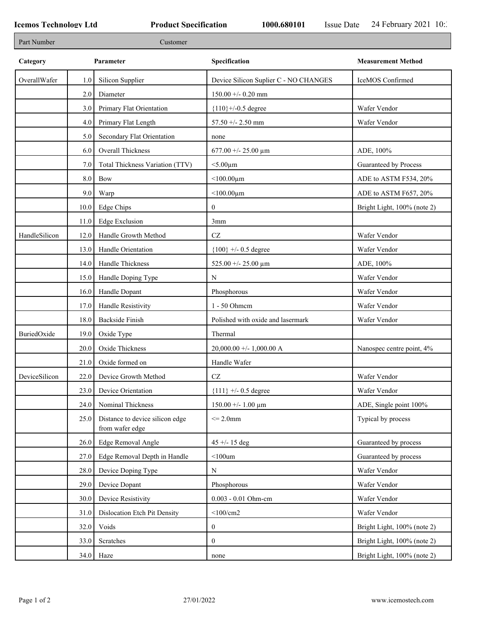۰

| Part Number   |           | Customer                                           |                                       |                             |
|---------------|-----------|----------------------------------------------------|---------------------------------------|-----------------------------|
| Category      | Parameter |                                                    | Specification                         | <b>Measurement Method</b>   |
| OverallWafer  | 1.0       | Silicon Supplier                                   | Device Silicon Suplier C - NO CHANGES | IceMOS Confirmed            |
|               | 2.0       | Diameter                                           | $150.00 + -0.20$ mm                   |                             |
|               | 3.0       | Primary Flat Orientation                           | ${110}$ +/-0.5 degree                 | Wafer Vendor                |
|               | 4.0       | Primary Flat Length                                | 57.50 +/- 2.50 mm                     | Wafer Vendor                |
|               | 5.0       | Secondary Flat Orientation                         | none                                  |                             |
|               | 6.0       | Overall Thickness                                  | $677.00 + - 25.00 \mu m$              | ADE, 100%                   |
|               | 7.0       | Total Thickness Variation (TTV)                    | $<$ 5.00 $\mu$ m                      | Guaranteed by Process       |
|               | 8.0       | Bow                                                | $<$ 100.00 $\mu$ m                    | ADE to ASTM F534, 20%       |
|               | 9.0       | Warp                                               | $<$ 100.00 $\mu$ m                    | ADE to ASTM F657, 20%       |
|               | 10.0      | Edge Chips                                         | $\mathbf{0}$                          | Bright Light, 100% (note 2) |
|               | 11.0      | Edge Exclusion                                     | 3mm                                   |                             |
| HandleSilicon | 12.0      | Handle Growth Method                               | $\operatorname{CZ}$                   | Wafer Vendor                |
|               | 13.0      | Handle Orientation                                 | ${100}$ +/- 0.5 degree                | Wafer Vendor                |
|               | 14.0      | Handle Thickness                                   | 525.00 +/- 25.00 $\mu$ m              | ADE, 100%                   |
|               | 15.0      | Handle Doping Type                                 | N                                     | Wafer Vendor                |
|               | 16.0      | Handle Dopant                                      | Phosphorous                           | Wafer Vendor                |
|               | 17.0      | Handle Resistivity                                 | 1 - 50 Ohmem                          | Wafer Vendor                |
|               | 18.0      | <b>Backside Finish</b>                             | Polished with oxide and lasermark     | Wafer Vendor                |
| BuriedOxide   | 19.0      | Oxide Type                                         | Thermal                               |                             |
|               | 20.0      | Oxide Thickness                                    | $20,000.00 +/- 1,000.00 A$            | Nanospec centre point, 4%   |
|               | 21.0      | Oxide formed on                                    | Handle Wafer                          |                             |
| DeviceSilicon | 22.0      | Device Growth Method                               | $\operatorname{CZ}$                   | Wafer Vendor                |
|               | 23.0      | Device Orientation                                 | ${111}$ +/- 0.5 degree                | Wafer Vendor                |
|               | 24.0      | Nominal Thickness                                  | $150.00 + - 1.00 \mu m$               | ADE, Single point 100%      |
|               | 25.0      | Distance to device silicon edge<br>from wafer edge | $\leq$ 2.0mm                          | Typical by process          |
|               | 26.0      | Edge Removal Angle                                 | $45 + - 15$ deg                       | Guaranteed by process       |
|               | 27.0      | Edge Removal Depth in Handle                       | $<$ 100um                             | Guaranteed by process       |
|               | 28.0      | Device Doping Type                                 | N                                     | Wafer Vendor                |
|               | 29.0      | Device Dopant                                      | Phosphorous                           | Wafer Vendor                |
|               | 30.0      | Device Resistivity                                 | 0.003 - 0.01 Ohm-cm                   | Wafer Vendor                |
|               | 31.0      | Dislocation Etch Pit Density                       | $<$ 100/cm2                           | Wafer Vendor                |
|               | 32.0      | Voids                                              | $\bf{0}$                              | Bright Light, 100% (note 2) |
|               | 33.0      | Scratches                                          | $\mathbf{0}$                          | Bright Light, 100% (note 2) |
|               | 34.0      | Haze                                               | none                                  | Bright Light, 100% (note 2) |
|               |           |                                                    |                                       |                             |